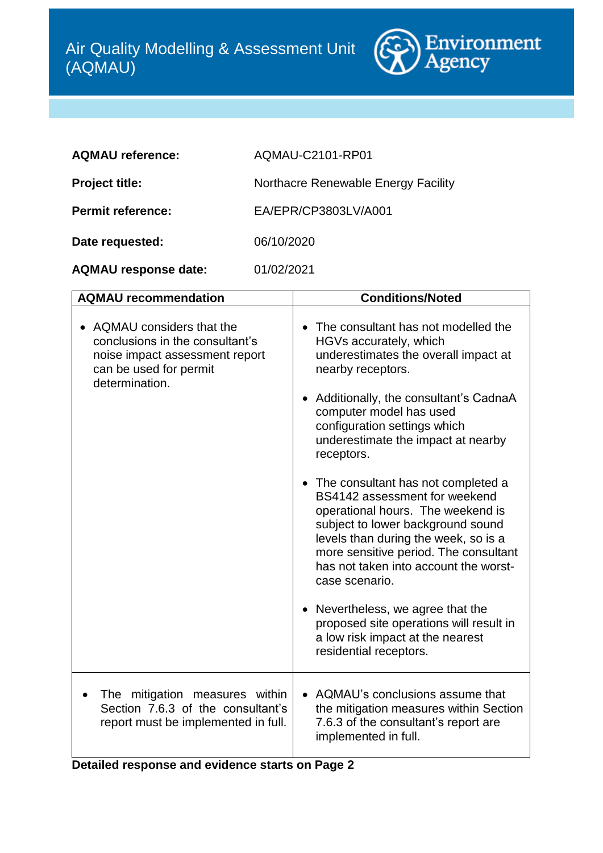

| AQMAU-C2101-RP01                    |
|-------------------------------------|
| Northacre Renewable Energy Facility |
| EA/EPR/CP3803LV/A001                |
| 06/10/2020                          |
|                                     |

| <b>AQMAU response date:</b> | 01/02/2021 |
|-----------------------------|------------|
|-----------------------------|------------|

| <b>AQMAU recommendation</b>                                                                                                               | <b>Conditions/Noted</b>                                                                                                                                                                                                                                                                     |
|-------------------------------------------------------------------------------------------------------------------------------------------|---------------------------------------------------------------------------------------------------------------------------------------------------------------------------------------------------------------------------------------------------------------------------------------------|
| AQMAU considers that the<br>conclusions in the consultant's<br>noise impact assessment report<br>can be used for permit<br>determination. | The consultant has not modelled the<br>HGVs accurately, which<br>underestimates the overall impact at<br>nearby receptors.<br>Additionally, the consultant's CadnaA<br>computer model has used<br>configuration settings which<br>underestimate the impact at nearby<br>receptors.          |
|                                                                                                                                           | • The consultant has not completed a<br>BS4142 assessment for weekend<br>operational hours. The weekend is<br>subject to lower background sound<br>levels than during the week, so is a<br>more sensitive period. The consultant<br>has not taken into account the worst-<br>case scenario. |
|                                                                                                                                           | Nevertheless, we agree that the<br>proposed site operations will result in<br>a low risk impact at the nearest<br>residential receptors.                                                                                                                                                    |
| The mitigation measures within<br>Section 7.6.3 of the consultant's<br>report must be implemented in full.                                | • AQMAU's conclusions assume that<br>the mitigation measures within Section<br>7.6.3 of the consultant's report are<br>implemented in full.                                                                                                                                                 |

**Detailed response and evidence starts on Page 2**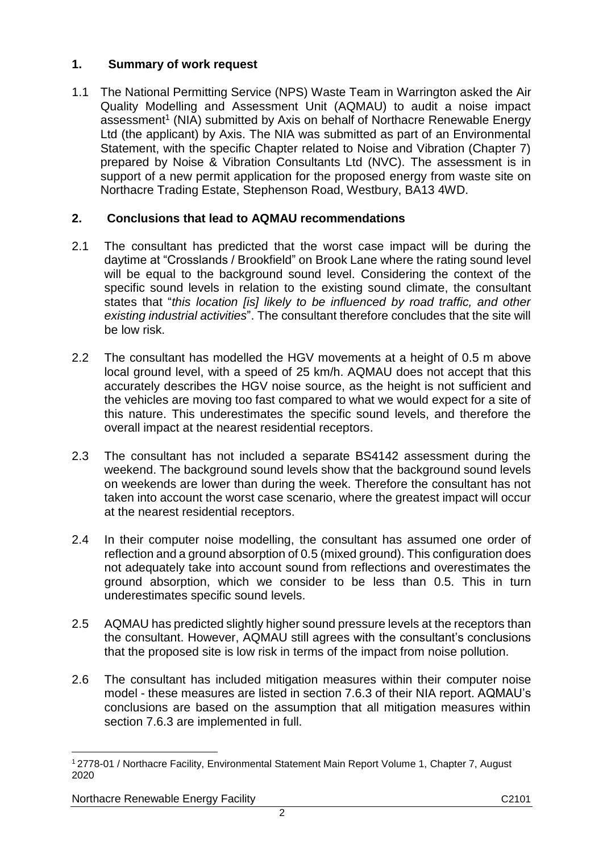#### **1. Summary of work request**

1.1 The National Permitting Service (NPS) Waste Team in Warrington asked the Air Quality Modelling and Assessment Unit (AQMAU) to audit a noise impact assessment<sup>1</sup> (NIA) submitted by Axis on behalf of Northacre Renewable Energy Ltd (the applicant) by Axis. The NIA was submitted as part of an Environmental Statement, with the specific Chapter related to Noise and Vibration (Chapter 7) prepared by Noise & Vibration Consultants Ltd (NVC). The assessment is in support of a new permit application for the proposed energy from waste site on Northacre Trading Estate, Stephenson Road, Westbury, BA13 4WD.

## **2. Conclusions that lead to AQMAU recommendations**

- 2.1 The consultant has predicted that the worst case impact will be during the daytime at "Crosslands / Brookfield" on Brook Lane where the rating sound level will be equal to the background sound level. Considering the context of the specific sound levels in relation to the existing sound climate, the consultant states that "*this location [is] likely to be influenced by road traffic, and other existing industrial activities*". The consultant therefore concludes that the site will be low risk.
- 2.2 The consultant has modelled the HGV movements at a height of 0.5 m above local ground level, with a speed of 25 km/h. AQMAU does not accept that this accurately describes the HGV noise source, as the height is not sufficient and the vehicles are moving too fast compared to what we would expect for a site of this nature. This underestimates the specific sound levels, and therefore the overall impact at the nearest residential receptors.
- 2.3 The consultant has not included a separate BS4142 assessment during the weekend. The background sound levels show that the background sound levels on weekends are lower than during the week. Therefore the consultant has not taken into account the worst case scenario, where the greatest impact will occur at the nearest residential receptors.
- 2.4 In their computer noise modelling, the consultant has assumed one order of reflection and a ground absorption of 0.5 (mixed ground). This configuration does not adequately take into account sound from reflections and overestimates the ground absorption, which we consider to be less than 0.5. This in turn underestimates specific sound levels.
- 2.5 AQMAU has predicted slightly higher sound pressure levels at the receptors than the consultant. However, AQMAU still agrees with the consultant's conclusions that the proposed site is low risk in terms of the impact from noise pollution.
- 2.6 The consultant has included mitigation measures within their computer noise model - these measures are listed in section 7.6.3 of their NIA report. AQMAU's conclusions are based on the assumption that all mitigation measures within section 7.6.3 are implemented in full.

Northacre Renewable Energy Facility C2101

 $\overline{a}$ <sup>1</sup> 2778-01 / Northacre Facility, Environmental Statement Main Report Volume 1, Chapter 7, August 2020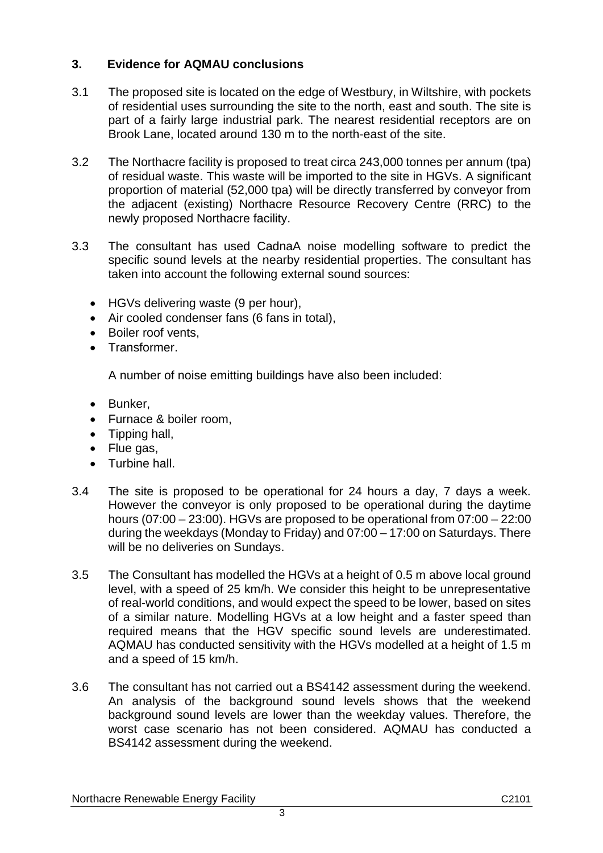## **3. Evidence for AQMAU conclusions**

- 3.1 The proposed site is located on the edge of Westbury, in Wiltshire, with pockets of residential uses surrounding the site to the north, east and south. The site is part of a fairly large industrial park. The nearest residential receptors are on Brook Lane, located around 130 m to the north-east of the site.
- 3.2 The Northacre facility is proposed to treat circa 243,000 tonnes per annum (tpa) of residual waste. This waste will be imported to the site in HGVs. A significant proportion of material (52,000 tpa) will be directly transferred by conveyor from the adjacent (existing) Northacre Resource Recovery Centre (RRC) to the newly proposed Northacre facility.
- 3.3 The consultant has used CadnaA noise modelling software to predict the specific sound levels at the nearby residential properties. The consultant has taken into account the following external sound sources:
	- HGVs delivering waste (9 per hour),
	- Air cooled condenser fans (6 fans in total),
	- Boiler roof vents,
	- Transformer.

A number of noise emitting buildings have also been included:

- Bunker,
- Furnace & boiler room,
- Tipping hall,
- Flue gas,
- Turbine hall.
- 3.4 The site is proposed to be operational for 24 hours a day, 7 days a week. However the conveyor is only proposed to be operational during the daytime hours (07:00 – 23:00). HGVs are proposed to be operational from 07:00 – 22:00 during the weekdays (Monday to Friday) and 07:00 – 17:00 on Saturdays. There will be no deliveries on Sundays.
- <span id="page-2-0"></span>3.5 The Consultant has modelled the HGVs at a height of 0.5 m above local ground level, with a speed of 25 km/h. We consider this height to be unrepresentative of real-world conditions, and would expect the speed to be lower, based on sites of a similar nature. Modelling HGVs at a low height and a faster speed than required means that the HGV specific sound levels are underestimated. AQMAU has conducted sensitivity with the HGVs modelled at a height of 1.5 m and a speed of 15 km/h.
- 3.6 The consultant has not carried out a BS4142 assessment during the weekend. An analysis of the background sound levels shows that the weekend background sound levels are lower than the weekday values. Therefore, the worst case scenario has not been considered. AQMAU has conducted a BS4142 assessment during the weekend.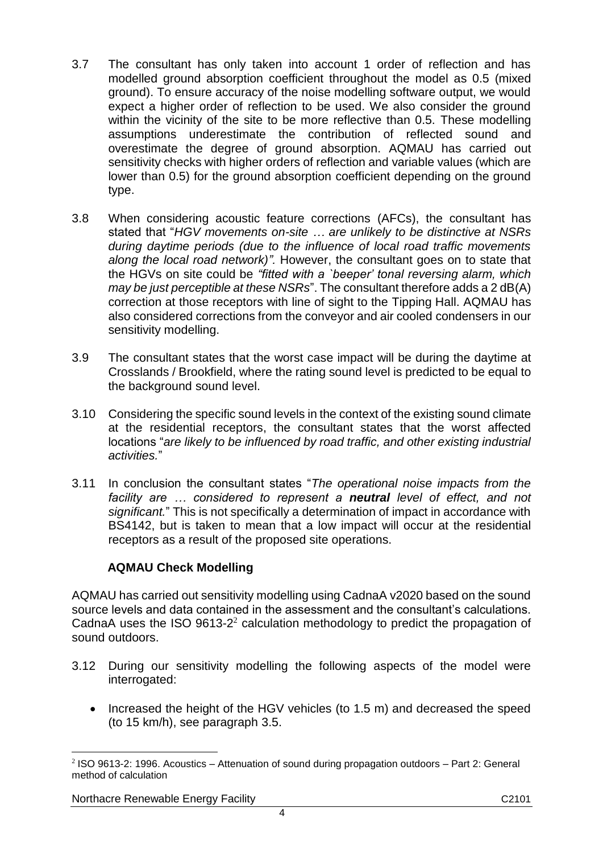- <span id="page-3-0"></span>3.7 The consultant has only taken into account 1 order of reflection and has modelled ground absorption coefficient throughout the model as 0.5 (mixed ground). To ensure accuracy of the noise modelling software output, we would expect a higher order of reflection to be used. We also consider the ground within the vicinity of the site to be more reflective than 0.5. These modelling assumptions underestimate the contribution of reflected sound and overestimate the degree of ground absorption. AQMAU has carried out sensitivity checks with higher orders of reflection and variable values (which are lower than 0.5) for the ground absorption coefficient depending on the ground type.
- 3.8 When considering acoustic feature corrections (AFCs), the consultant has stated that "*HGV movements on-site … are unlikely to be distinctive at NSRs during daytime periods (due to the influence of local road traffic movements along the local road network)".* However, the consultant goes on to state that the HGVs on site could be *"fitted with a `beeper' tonal reversing alarm, which may be just perceptible at these NSRs*". The consultant therefore adds a 2 dB(A) correction at those receptors with line of sight to the Tipping Hall. AQMAU has also considered corrections from the conveyor and air cooled condensers in our sensitivity modelling.
- <span id="page-3-1"></span>3.9 The consultant states that the worst case impact will be during the daytime at Crosslands / Brookfield, where the rating sound level is predicted to be equal to the background sound level.
- 3.10 Considering the specific sound levels in the context of the existing sound climate at the residential receptors, the consultant states that the worst affected locations "*are likely to be influenced by road traffic, and other existing industrial activities.*"
- 3.11 In conclusion the consultant states "*The operational noise impacts from the facility are … considered to represent a neutral level of effect, and not significant.*" This is not specifically a determination of impact in accordance with BS4142, but is taken to mean that a low impact will occur at the residential receptors as a result of the proposed site operations.

#### **AQMAU Check Modelling**

AQMAU has carried out sensitivity modelling using CadnaA v2020 based on the sound source levels and data contained in the assessment and the consultant's calculations. CadnaA uses the ISO  $9613-2^2$  calculation methodology to predict the propagation of sound outdoors.

- 3.12 During our sensitivity modelling the following aspects of the model were interrogated:
	- Increased the height of the HGV vehicles (to 1.5 m) and decreased the speed (to 15 km/h), see paragraph [3.5.](#page-2-0)

Northacre Renewable Energy Facility C2101

 $\overline{a}$ 2 ISO 9613-2: 1996. Acoustics – Attenuation of sound during propagation outdoors – Part 2: General method of calculation